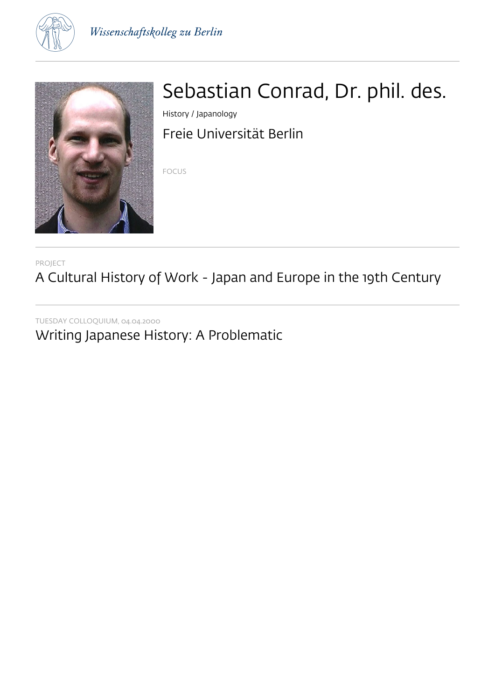



# Sebastian Conrad, Dr. phil. des.

History / Japanology Freie Universität Berlin

FOCUS

PROJECT

A Cultural History of Work - Japan and Europe in the 19th Century

TUESDAY COLLOQUIUM, 04.04.2000

Writing Japanese History: A Problematic